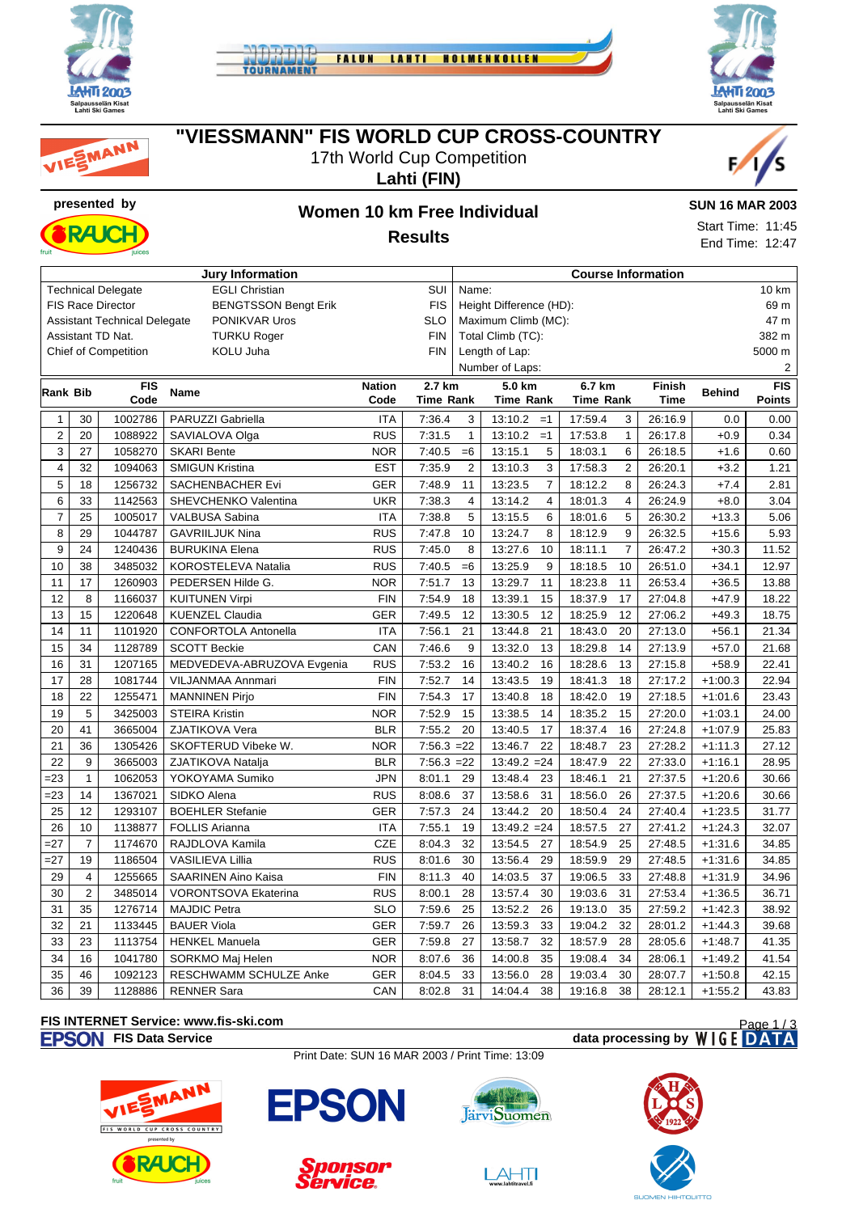







### **"VIESSMANN" FIS WORLD CUP CROSS-COUNTRY**

17th World Cup Competition

**Lahti (FIN)**





# **presented by Women 10 km Free Individual Results**

#### **SUN 16 MAR 2003**

Start Time: 11:45 End Time: 12:47

| Jury Information                                          |                         |                                     |                             |               |                  |                         | <b>Course Information</b> |                  |                         |               |               |               |  |  |
|-----------------------------------------------------------|-------------------------|-------------------------------------|-----------------------------|---------------|------------------|-------------------------|---------------------------|------------------|-------------------------|---------------|---------------|---------------|--|--|
| <b>EGLI Christian</b><br>SUI<br><b>Technical Delegate</b> |                         |                                     |                             |               |                  |                         | 10 km<br>Name:            |                  |                         |               |               |               |  |  |
|                                                           |                         | <b>FIS Race Director</b>            | <b>BENGTSSON Bengt Erik</b> |               | <b>FIS</b>       | Height Difference (HD): |                           |                  |                         |               |               | 69 m          |  |  |
|                                                           |                         | <b>Assistant Technical Delegate</b> | PONIKVAR Uros               |               | <b>SLO</b>       |                         | Maximum Climb (MC):       |                  |                         |               |               | 47 m          |  |  |
| Assistant TD Nat.<br><b>TURKU Roger</b>                   |                         |                                     |                             |               |                  |                         | Total Climb (TC):         |                  |                         |               |               | 382 m         |  |  |
|                                                           |                         | Chief of Competition                | KOLU Juha                   |               | <b>FIN</b>       |                         | Length of Lap:            |                  |                         |               | 5000 m        |               |  |  |
|                                                           |                         |                                     |                             |               |                  |                         | Number of Laps:           |                  |                         |               |               | 2             |  |  |
| Rank Bib                                                  |                         | <b>FIS</b>                          | <b>Name</b>                 | <b>Nation</b> | 2.7 km           |                         | 5.0 km                    | 6.7 km           |                         | <b>Finish</b> | <b>Behind</b> | FIS           |  |  |
|                                                           |                         | Code                                |                             | Code          | <b>Time Rank</b> |                         | <b>Time Rank</b>          | <b>Time Rank</b> |                         | <b>Time</b>   |               | <b>Points</b> |  |  |
| $\mathbf{1}$                                              | 30                      | 1002786                             | PARUZZI Gabriella           | <b>ITA</b>    | 7:36.4           | 3                       | 13:10.2<br>$=1$           | 17:59.4          | 3                       | 26:16.9       | 0.0           | 0.00          |  |  |
| $\overline{2}$                                            | 20                      | 1088922                             | SAVIALOVA Olga              | <b>RUS</b>    | 7:31.5           | $\mathbf{1}$            | 13:10.2<br>$=1$           | 17:53.8          | $\mathbf{1}$            | 26:17.8       | $+0.9$        | 0.34          |  |  |
| 3                                                         | 27                      | 1058270                             | <b>SKARI Bente</b>          | <b>NOR</b>    | 7:40.5           | $=6$                    | 13:15.1<br>5              | 18:03.1          | 6                       | 26:18.5       | $+1.6$        | 0.60          |  |  |
| 4                                                         | 32                      | 1094063                             | <b>SMIGUN Kristina</b>      | <b>EST</b>    | 7:35.9           | $\overline{2}$          | 13:10.3<br>3              | 17:58.3          | $\overline{2}$          | 26:20.1       | $+3.2$        | 1.21          |  |  |
| 5                                                         | 18                      | 1256732                             | SACHENBACHER Evi            | <b>GER</b>    | 7:48.9           | 11                      | 13:23.5<br>$\overline{7}$ | 18:12.2          | 8                       | 26:24.3       | $+7.4$        | 2.81          |  |  |
| 6                                                         | 33                      | 1142563                             | SHEVCHENKO Valentina        | <b>UKR</b>    | 7:38.3           | $\overline{4}$          | 13:14.2<br>$\overline{4}$ | 18:01.3          | $\overline{\mathbf{4}}$ | 26:24.9       | $+8.0$        | 3.04          |  |  |
| $\overline{7}$                                            | 25                      | 1005017                             | VALBUSA Sabina              | <b>ITA</b>    | 7:38.8           | 5                       | 13:15.5<br>6              | 18:01.6          | 5                       | 26:30.2       | $+13.3$       | 5.06          |  |  |
| 8                                                         | 29                      | 1044787                             | <b>GAVRIILJUK Nina</b>      | <b>RUS</b>    | 7:47.8           | 10                      | 13:24.7<br>8              | 18:12.9          | 9                       | 26:32.5       | $+15.6$       | 5.93          |  |  |
| 9                                                         | 24                      | 1240436                             | <b>BURUKINA Elena</b>       | <b>RUS</b>    | 7:45.0           | 8                       | 13:27.6<br>10             | 18:11.1          | $\overline{7}$          | 26:47.2       | $+30.3$       | 11.52         |  |  |
| 10                                                        | 38                      | 3485032                             | KOROSTELEVA Natalia         | <b>RUS</b>    | 7:40.5           | $=6$                    | 13:25.9<br>9              | 18:18.5          | 10                      | 26:51.0       | $+34.1$       | 12.97         |  |  |
| 11                                                        | 17                      | 1260903                             | PEDERSEN Hilde G.           | <b>NOR</b>    | 7:51.7           | 13                      | 13:29.7<br>11             | 18:23.8          | 11                      | 26:53.4       | $+36.5$       | 13.88         |  |  |
| 12                                                        | 8                       | 1166037                             | <b>KUITUNEN Virpi</b>       | <b>FIN</b>    | 7:54.9           | 18                      | 13:39.1<br>15             | 18:37.9          | 17                      | 27:04.8       | $+47.9$       | 18.22         |  |  |
| 13                                                        | 15                      | 1220648                             | <b>KUENZEL Claudia</b>      | <b>GER</b>    | 7:49.5           | 12                      | 13:30.5<br>12             | 18:25.9          | 12                      | 27:06.2       | $+49.3$       | 18.75         |  |  |
| 14                                                        | 11                      | 1101920                             | CONFORTOLA Antonella        | <b>ITA</b>    | 7:56.1           | 21                      | 13:44.8<br>21             | 18:43.0          | 20                      | 27:13.0       | $+56.1$       | 21.34         |  |  |
| 15                                                        | 34                      | 1128789                             | <b>SCOTT Beckie</b>         | CAN           | 7:46.6           | 9                       | 13:32.0<br>13             | 18:29.8          | 14                      | 27:13.9       | $+57.0$       | 21.68         |  |  |
| 16                                                        | 31                      | 1207165                             | MEDVEDEVA-ABRUZOVA Evgenia  | <b>RUS</b>    | 7:53.2           | 16                      | 13:40.2<br>16             | 18:28.6          | 13                      | 27:15.8       | $+58.9$       | 22.41         |  |  |
| 17                                                        | 28                      | 1081744                             | VILJANMAA Annmari           | <b>FIN</b>    | 7:52.7           | 14                      | 13:43.5<br>19             | 18:41.3          | 18                      | 27:17.2       | $+1:00.3$     | 22.94         |  |  |
| 18                                                        | 22                      | 1255471                             | <b>MANNINEN Pirjo</b>       | <b>FIN</b>    | 7:54.3           | 17                      | 13:40.8<br>18             | 18:42.0          | 19                      | 27:18.5       | $+1:01.6$     | 23.43         |  |  |
| 19                                                        | $\sqrt{5}$              | 3425003                             | <b>STEIRA Kristin</b>       | <b>NOR</b>    | 7:52.9           | 15                      | 13:38.5<br>14             | 18:35.2          | 15                      | 27:20.0       | $+1:03.1$     | 24.00         |  |  |
| 20                                                        | 41                      | 3665004                             | ZJATIKOVA Vera              | <b>BLR</b>    | 7:55.2           | 20                      | 13:40.5<br>17             | 18:37.4          | 16                      | 27:24.8       | $+1:07.9$     | 25.83         |  |  |
| 21                                                        | 36                      | 1305426                             | SKOFTERUD Vibeke W.         | <b>NOR</b>    | $7:56.3 = 22$    |                         | 22<br>13:46.7             | 18:48.7          | 23                      | 27:28.2       | $+1:11.3$     | 27.12         |  |  |
| 22                                                        | 9                       | 3665003                             | ZJATIKOVA Natalja           | <b>BLR</b>    | $7:56.3 = 22$    |                         | $13:49.2 = 24$            | 18:47.9          | 22                      | 27:33.0       | $+1:16.1$     | 28.95         |  |  |
| $= 23$                                                    | $\mathbf{1}$            | 1062053                             | YOKOYAMA Sumiko             | <b>JPN</b>    | 8:01.1           | 29                      | 13:48.4<br>23             | 18:46.1          | 21                      | 27:37.5       | $+1:20.6$     | 30.66         |  |  |
| $= 23$                                                    | 14                      | 1367021                             | SIDKO Alena                 | <b>RUS</b>    | 8:08.6           | 37                      | 13:58.6<br>31             | 18:56.0          | 26                      | 27:37.5       | $+1:20.6$     | 30.66         |  |  |
| 25                                                        | 12                      | 1293107                             | <b>BOEHLER Stefanie</b>     | <b>GER</b>    | 7:57.3           | 24                      | 13:44.2<br>20             | 18:50.4          | 24                      | 27:40.4       | $+1:23.5$     | 31.77         |  |  |
| 26                                                        | 10                      | 1138877                             | <b>FOLLIS Arianna</b>       | <b>ITA</b>    | 7:55.1           | 19                      | $13:49.2 = 24$            | 18:57.5          | 27                      | 27:41.2       | $+1:24.3$     | 32.07         |  |  |
| $=27$                                                     | $\overline{7}$          | 1174670                             | RAJDLOVA Kamila             | <b>CZE</b>    | 8:04.3           | 32                      | 13:54.5<br>27             | 18:54.9          | 25                      | 27:48.5       | $+1:31.6$     | 34.85         |  |  |
| $=27$                                                     | 19                      | 1186504                             | VASILIEVA Lillia            | <b>RUS</b>    | 8:01.6           | 30                      | 13:56.4<br>29             | 18:59.9          | 29                      | 27:48.5       | $+1:31.6$     | 34.85         |  |  |
| 29                                                        | $\overline{\mathbf{4}}$ | 1255665                             | <b>SAARINEN Aino Kaisa</b>  | <b>FIN</b>    | 8:11.3           | 40                      | 14:03.5<br>37             | 19:06.5          | 33                      | 27:48.8       | $+1:31.9$     | 34.96         |  |  |
| 30                                                        | $\overline{2}$          | 3485014                             | <b>VORONTSOVA Ekaterina</b> | <b>RUS</b>    | 8:00.1           | 28                      | 13:57.4<br>30             | 19:03.6          | 31                      | 27:53.4       | $+1:36.5$     | 36.71         |  |  |
| 31                                                        | 35                      | 1276714                             | <b>MAJDIC Petra</b>         | <b>SLO</b>    | 7:59.6           | 25                      | 13:52.2<br>26             | 19:13.0          | 35                      | 27:59.2       | $+1:42.3$     | 38.92         |  |  |
| 32                                                        | 21                      | 1133445                             | <b>BAUER Viola</b>          | <b>GER</b>    | 7:59.7           | 26                      | 13:59.3<br>33             | 19:04.2          | 32                      | 28:01.2       | $+1:44.3$     | 39.68         |  |  |
| 33                                                        | 23                      | 1113754                             | <b>HENKEL Manuela</b>       | <b>GER</b>    | 7:59.8           | 27                      | 13:58.7<br>32             | 18:57.9          | 28                      | 28:05.6       | $+1:48.7$     | 41.35         |  |  |
| 34                                                        | 16                      | 1041780                             | SORKMO Maj Helen            | <b>NOR</b>    | 8:07.6           | 36                      | 35<br>14:00.8             | 19:08.4          | 34                      | 28:06.1       | $+1:49.2$     | 41.54         |  |  |
| 35                                                        | 46                      | 1092123                             | RESCHWAMM SCHULZE Anke      | <b>GER</b>    | 8:04.5           | 33                      | 13:56.0<br>28             | 19:03.4          | 30                      | 28:07.7       | $+1:50.8$     | 42.15         |  |  |
| 36                                                        | 39                      | 1128886                             | <b>RENNER Sara</b>          | CAN           | 8:02.8           | 31                      | 14:04.4<br>38             | 19:16.8          | 38                      | 28:12.1       | $+1:55.2$     | 43.83         |  |  |

### **FIS INTERNET Service: www.fis-ski.com**

### **FISON** FIS Data Service **data processing by** WIGE DATA

Print Date: SUN 16 MAR 2003 / Print Time: 13:09





nire





Page 1/3

 $\boxed{\underset{\text{www labititave}16}{\text{A}+\text{I}}\n$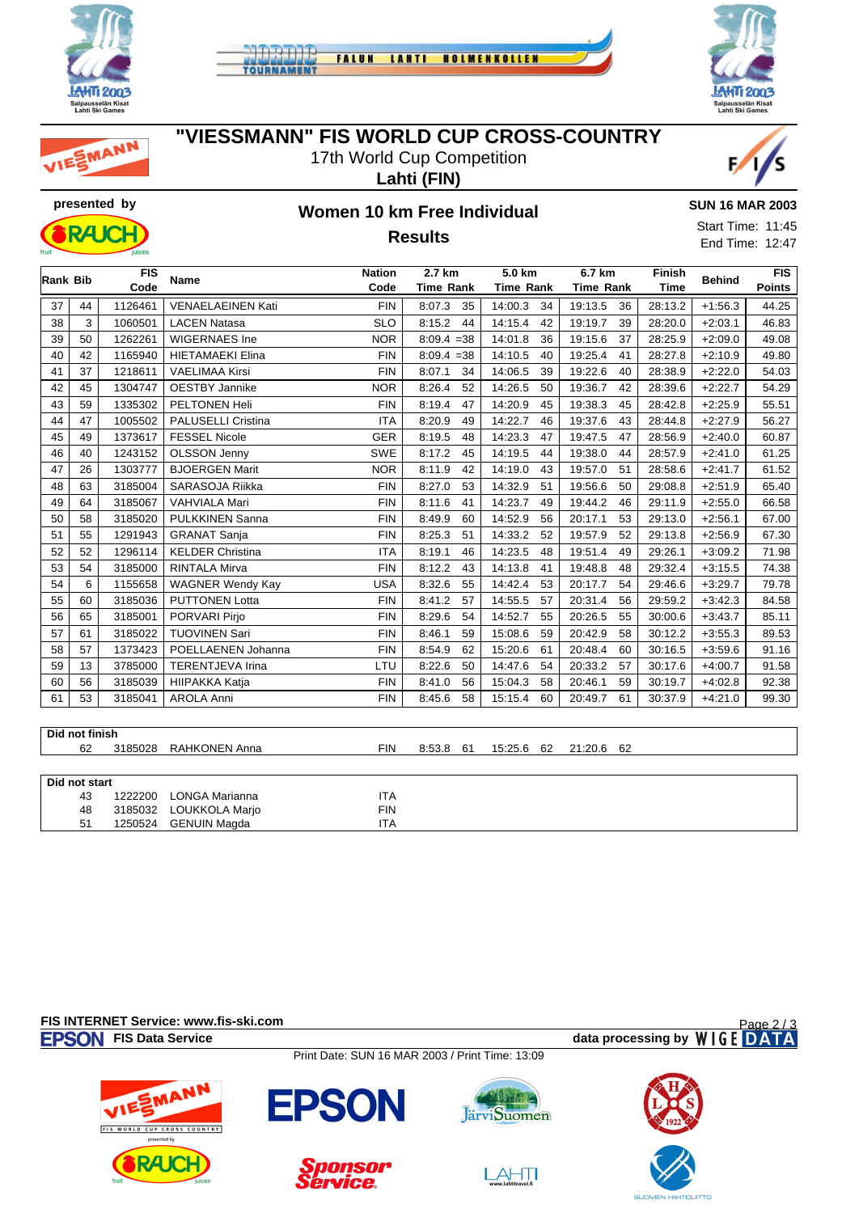







17th World Cup Competition





MANN

# **presented by Women 10 km Free Individual Results**



**SUN 16 MAR 2003**

Start Time: 11:45 End Time: 12:47

| Rank Bib |                | <b>FIS</b> | <b>Name</b>               | <b>Nation</b> | 2.7 km           | 5.0 km           | 6.7 km           | <b>Finish</b> | <b>Behind</b> | <b>FIS</b>    |
|----------|----------------|------------|---------------------------|---------------|------------------|------------------|------------------|---------------|---------------|---------------|
|          |                | Code       |                           | Code          | <b>Time Rank</b> | <b>Time Rank</b> | <b>Time Rank</b> | <b>Time</b>   |               | <b>Points</b> |
| 37       | 44             | 1126461    | VENAELAEINEN Kati         | <b>FIN</b>    | 35<br>8:07.3     | 14:00.3<br>34    | 19:13.5<br>36    | 28:13.2       | $+1:56.3$     | 44.25         |
| 38       | 3              | 1060501    | <b>LACEN Natasa</b>       | <b>SLO</b>    | 8:15.2<br>44     | 14:15.4<br>42    | 19:19.7<br>39    | 28:20.0       | $+2:03.1$     | 46.83         |
| 39       | 50             | 1262261    | <b>WIGERNAES Ine</b>      | <b>NOR</b>    | $8:09.4 = 38$    | 14:01.8<br>36    | 19:15.6<br>37    | 28:25.9       | $+2:09.0$     | 49.08         |
| 40       | 42             | 1165940    | <b>HIETAMAEKI Elina</b>   | <b>FIN</b>    | $8:09.4 = 38$    | 14:10.5<br>40    | 19:25.4<br>41    | 28:27.8       | $+2:10.9$     | 49.80         |
| 41       | 37             | 1218611    | <b>VAELIMAA Kirsi</b>     | <b>FIN</b>    | 8:07.1<br>34     | 14:06.5<br>39    | 19:22.6<br>40    | 28:38.9       | $+2:22.0$     | 54.03         |
| 42       | 45             | 1304747    | <b>OESTBY Jannike</b>     | <b>NOR</b>    | 8:26.4<br>52     | 14:26.5<br>50    | 19:36.7<br>42    | 28:39.6       | $+2:22.7$     | 54.29         |
| 43       | 59             | 1335302    | PELTONEN Heli             | <b>FIN</b>    | 8:19.4<br>47     | 14:20.9<br>45    | 19:38.3<br>45    | 28:42.8       | $+2:25.9$     | 55.51         |
| 44       | 47             | 1005502    | <b>PALUSELLI Cristina</b> | <b>ITA</b>    | 8:20.9<br>49     | 14:22.7<br>46    | 19:37.6<br>43    | 28:44.8       | $+2:27.9$     | 56.27         |
| 45       | 49             | 1373617    | <b>FESSEL Nicole</b>      | <b>GER</b>    | 8:19.5<br>48     | 14:23.3<br>47    | 19:47.5<br>47    | 28:56.9       | $+2:40.0$     | 60.87         |
| 46       | 40             | 1243152    | OLSSON Jenny              | SWE           | 8:17.2<br>45     | 14:19.5<br>44    | 19:38.0<br>44    | 28:57.9       | $+2:41.0$     | 61.25         |
| 47       | 26             | 1303777    | <b>BJOERGEN Marit</b>     | <b>NOR</b>    | 8:11.9<br>42     | 14:19.0<br>43    | 19:57.0<br>51    | 28:58.6       | $+2:41.7$     | 61.52         |
| 48       | 63             | 3185004    | SARASOJA Riikka           | <b>FIN</b>    | 53<br>8:27.0     | 14:32.9<br>51    | 19:56.6<br>50    | 29:08.8       | $+2:51.9$     | 65.40         |
| 49       | 64             | 3185067    | <b>VAHVIALA Mari</b>      | <b>FIN</b>    | 8:11.6<br>41     | 14:23.7<br>49    | 19:44.2<br>46    | 29:11.9       | $+2:55.0$     | 66.58         |
| 50       | 58             | 3185020    | <b>PULKKINEN Sanna</b>    | <b>FIN</b>    | 8:49.9<br>60     | 14:52.9<br>56    | 20:17.1<br>53    | 29:13.0       | $+2:56.1$     | 67.00         |
| 51       | 55             | 1291943    | <b>GRANAT Sanja</b>       | <b>FIN</b>    | 8:25.3<br>51     | 14:33.2<br>52    | 19:57.9<br>52    | 29:13.8       | $+2:56.9$     | 67.30         |
| 52       | 52             | 1296114    | <b>KELDER Christina</b>   | <b>ITA</b>    | 8:19.1<br>46     | 14:23.5<br>48    | 19:51.4<br>49    | 29:26.1       | $+3:09.2$     | 71.98         |
| 53       | 54             | 3185000    | <b>RINTALA Mirva</b>      | <b>FIN</b>    | 8:12.2<br>43     | 14:13.8<br>41    | 19:48.8<br>48    | 29:32.4       | $+3:15.5$     | 74.38         |
| 54       | 6              | 1155658    | <b>WAGNER Wendy Kay</b>   | <b>USA</b>    | 8:32.6<br>55     | 14:42.4<br>53    | 20:17.7<br>54    | 29:46.6       | $+3:29.7$     | 79.78         |
| 55       | 60             | 3185036    | <b>PUTTONEN Lotta</b>     | <b>FIN</b>    | 8:41.2<br>57     | 14:55.5<br>57    | 20:31.4<br>56    | 29:59.2       | $+3:42.3$     | 84.58         |
| 56       | 65             | 3185001    | PORVARI Pirjo             | <b>FIN</b>    | 8:29.6<br>54     | 14:52.7<br>55    | 20:26.5<br>55    | 30:00.6       | $+3:43.7$     | 85.11         |
| 57       | 61             | 3185022    | <b>TUOVINEN Sari</b>      | <b>FIN</b>    | 8:46.1<br>59     | 15:08.6<br>59    | 20:42.9<br>58    | 30:12.2       | $+3:55.3$     | 89.53         |
| 58       | 57             | 1373423    | POELLAENEN Johanna        | <b>FIN</b>    | 8:54.9<br>62     | 15:20.6<br>61    | 20:48.4<br>60    | 30:16.5       | $+3:59.6$     | 91.16         |
| 59       | 13             | 3785000    | <b>TERENTJEVA Irina</b>   | LTU           | 8:22.6<br>50     | 14:47.6<br>54    | 20:33.2<br>57    | 30:17.6       | $+4:00.7$     | 91.58         |
| 60       | 56             | 3185039    | HIIPAKKA Katja            | <b>FIN</b>    | 56<br>8:41.0     | 15:04.3<br>58    | 20:46.1<br>59    | 30:19.7       | $+4:02.8$     | 92.38         |
| 61       | 53             | 3185041    | <b>AROLA Anni</b>         | <b>FIN</b>    | 8:45.6<br>58     | 60<br>15:15.4    | 20:49.7<br>61    | 30:37.9       | $+4:21.0$     | 99.30         |
|          |                |            |                           |               |                  |                  |                  |               |               |               |
|          | Did not finish |            |                           |               |                  |                  |                  |               |               |               |

| ווכווווו וטושוש |                        |     |           |  |                       |  |  |  |
|-----------------|------------------------|-----|-----------|--|-----------------------|--|--|--|
| 62              | 3185028 RAHKONEN Anna  | FIN | 8:53.8 61 |  | 15:25.6 62 21:20.6 62 |  |  |  |
|                 |                        |     |           |  |                       |  |  |  |
| Did not start   |                        |     |           |  |                       |  |  |  |
| 43              | 1222200 LONGA Marianna | ITA |           |  |                       |  |  |  |
| 48              | 3185032 LOUKKOLA Marjo | FIN |           |  |                       |  |  |  |
| 51              | 1250524 GENUIN Magda   | ITA |           |  |                       |  |  |  |

**FIS INTERNET Service: www.fis-ski.com**

**FISON** FIS Data Service **data processing by** WIGE DATA Page 2 / 3

Print Date: SUN 16 MAR 2003 / Print Time: 13:09





**FPSON** 



 $LAHT$